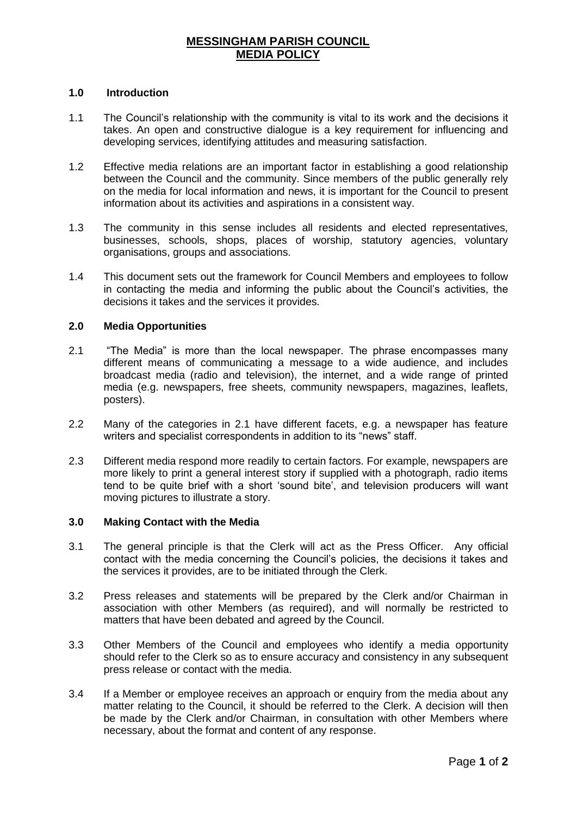# **MESSINGHAM PARISH COUNCIL MEDIA POLICY**

### **1.0 Introduction**

- 1.1 The Council's relationship with the community is vital to its work and the decisions it takes. An open and constructive dialogue is a key requirement for influencing and developing services, identifying attitudes and measuring satisfaction.
- 1.2 Effective media relations are an important factor in establishing a good relationship between the Council and the community. Since members of the public generally rely on the media for local information and news, it is important for the Council to present information about its activities and aspirations in a consistent way.
- 1.3 The community in this sense includes all residents and elected representatives, businesses, schools, shops, places of worship, statutory agencies, voluntary organisations, groups and associations.
- 1.4 This document sets out the framework for Council Members and employees to follow in contacting the media and informing the public about the Council's activities, the decisions it takes and the services it provides.

## **2.0 Media Opportunities**

- 2.1 "The Media" is more than the local newspaper. The phrase encompasses many different means of communicating a message to a wide audience, and includes broadcast media (radio and television), the internet, and a wide range of printed media (e.g. newspapers, free sheets, community newspapers, magazines, leaflets, posters).
- 2.2 Many of the categories in 2.1 have different facets, e.g. a newspaper has feature writers and specialist correspondents in addition to its "news" staff.
- 2.3 Different media respond more readily to certain factors. For example, newspapers are more likely to print a general interest story if supplied with a photograph, radio items tend to be quite brief with a short 'sound bite', and television producers will want moving pictures to illustrate a story.

#### **3.0 Making Contact with the Media**

- 3.1 The general principle is that the Clerk will act as the Press Officer. Any official contact with the media concerning the Council's policies, the decisions it takes and the services it provides, are to be initiated through the Clerk.
- 3.2 Press releases and statements will be prepared by the Clerk and/or Chairman in association with other Members (as required), and will normally be restricted to matters that have been debated and agreed by the Council.
- 3.3 Other Members of the Council and employees who identify a media opportunity should refer to the Clerk so as to ensure accuracy and consistency in any subsequent press release or contact with the media.
- 3.4 If a Member or employee receives an approach or enquiry from the media about any matter relating to the Council, it should be referred to the Clerk. A decision will then be made by the Clerk and/or Chairman, in consultation with other Members where necessary, about the format and content of any response.